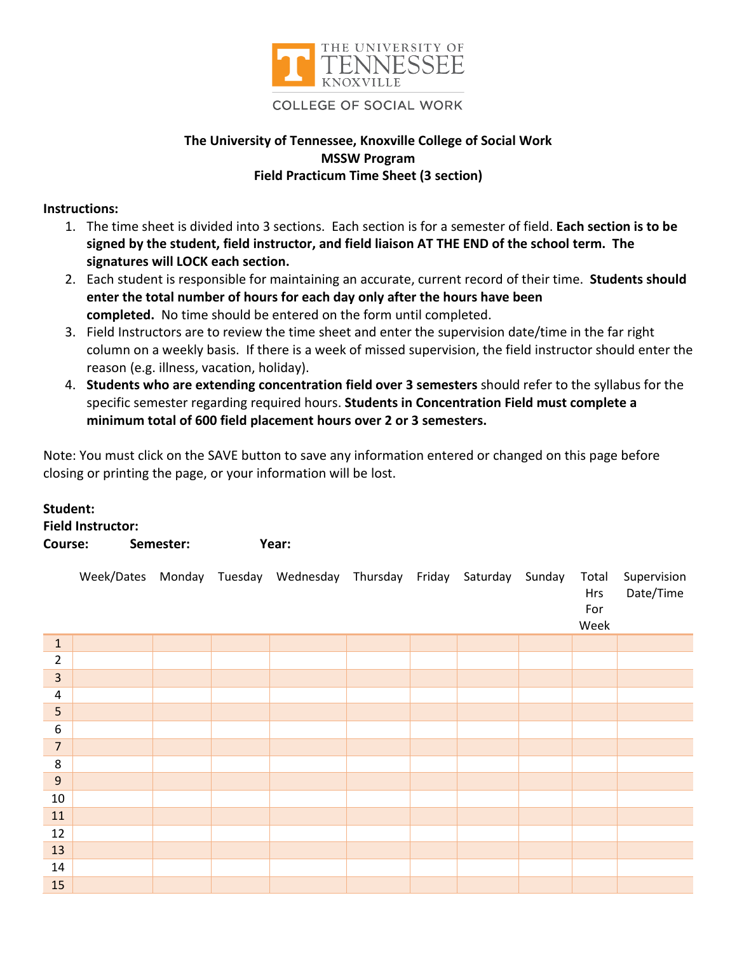

## **COLLEGE OF SOCIAL WORK**

## **The University of Tennessee, Knoxville College of Social Work MSSW Program Field Practicum Time Sheet (3 section)**

## **Instructions:**

- 1. The time sheet is divided into 3 sections. Each section is for a semester of field. **Each section is to be signed by the student, field instructor, and field liaison AT THE END of the school term. The signatures will LOCK each section.**
- 2. Each student is responsible for maintaining an accurate, current record of their time. **Students should enter the total number of hours for each day only after the hours have been completed.** No time should be entered on the form until completed.
- 3. Field Instructors are to review the time sheet and enter the supervision date/time in the far right column on a weekly basis. If there is a week of missed supervision, the field instructor should enter the reason (e.g. illness, vacation, holiday).
- 4. **Students who are extending concentration field over 3 semesters** should refer to the syllabus for the specific semester regarding required hours. **Students in Concentration Field must complete a minimum total of 600 field placement hours over 2 or 3 semesters.**

Note: You must click on the SAVE button to save any information entered or changed on this page before closing or printing the page, or your information will be lost.

| Student:                 |  |
|--------------------------|--|
| <b>Field Instructor:</b> |  |

| Course: | Semester: | Year: |
|---------|-----------|-------|
|         |           |       |

|                  |  | Week/Dates Monday Tuesday Wednesday Thursday Friday Saturday Sunday |  |  | Total<br>Hrs<br>For<br>Week | Supervision<br>Date/Time |
|------------------|--|---------------------------------------------------------------------|--|--|-----------------------------|--------------------------|
| $1\,$            |  |                                                                     |  |  |                             |                          |
| $\overline{2}$   |  |                                                                     |  |  |                             |                          |
| $\overline{3}$   |  |                                                                     |  |  |                             |                          |
| $\pmb{4}$        |  |                                                                     |  |  |                             |                          |
| 5                |  |                                                                     |  |  |                             |                          |
| $\boldsymbol{6}$ |  |                                                                     |  |  |                             |                          |
| $\overline{7}$   |  |                                                                     |  |  |                             |                          |
| $\bf 8$          |  |                                                                     |  |  |                             |                          |
| $\overline{9}$   |  |                                                                     |  |  |                             |                          |
| $10\,$           |  |                                                                     |  |  |                             |                          |
| $11\,$           |  |                                                                     |  |  |                             |                          |
| 12               |  |                                                                     |  |  |                             |                          |
| 13               |  |                                                                     |  |  |                             |                          |
| 14               |  |                                                                     |  |  |                             |                          |
| 15               |  |                                                                     |  |  |                             |                          |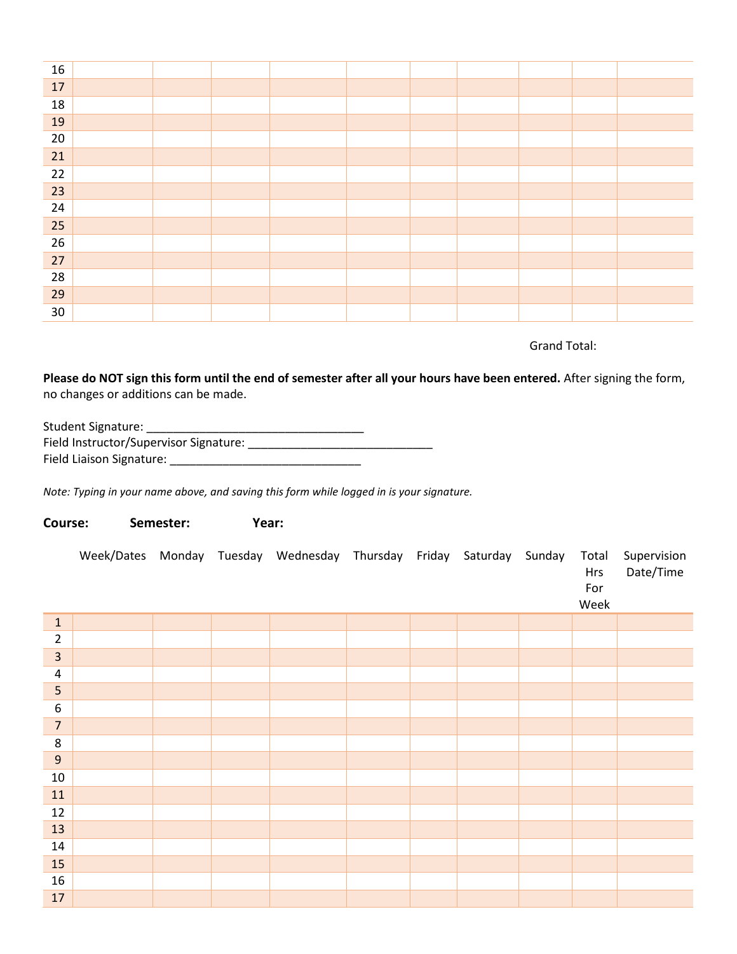| 16 |  |  |  |  |  |
|----|--|--|--|--|--|
| 17 |  |  |  |  |  |
| 18 |  |  |  |  |  |
| 19 |  |  |  |  |  |
| 20 |  |  |  |  |  |
| 21 |  |  |  |  |  |
| 22 |  |  |  |  |  |
| 23 |  |  |  |  |  |
| 24 |  |  |  |  |  |
| 25 |  |  |  |  |  |
| 26 |  |  |  |  |  |
| 27 |  |  |  |  |  |
| 28 |  |  |  |  |  |
| 29 |  |  |  |  |  |
| 30 |  |  |  |  |  |

Grand Total:

**Please do NOT sign this form until the end of semester after all your hours have been entered.** After signing the form, no changes or additions can be made.

| Student Signature:                     |
|----------------------------------------|
| Field Instructor/Supervisor Signature: |
| Field Liaison Signature:               |

*Note: Typing in your name above, and saving this form while logged in is your signature.* 

**Course: Semester: Year:**

Week/Dates Monday Tuesday Wednesday Thursday Friday Saturday Sunday Total Hrs For Week Supervision Date/Time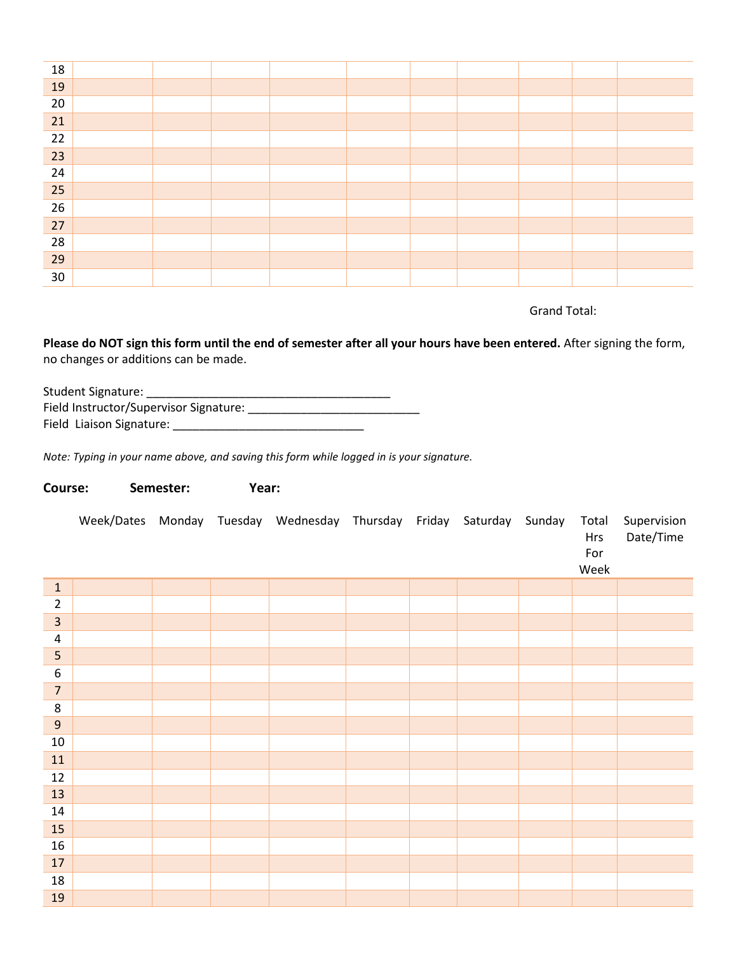| 18 |  |  |  |  |  |
|----|--|--|--|--|--|
| 19 |  |  |  |  |  |
| 20 |  |  |  |  |  |
| 21 |  |  |  |  |  |
| 22 |  |  |  |  |  |
| 23 |  |  |  |  |  |
| 24 |  |  |  |  |  |
| 25 |  |  |  |  |  |
| 26 |  |  |  |  |  |
| 27 |  |  |  |  |  |
| 28 |  |  |  |  |  |
| 29 |  |  |  |  |  |
| 30 |  |  |  |  |  |

Grand Total:

**Please do NOT sign this form until the end of semester after all your hours have been entered.** After signing the form, no changes or additions can be made.

Student Signature: \_\_\_\_\_\_\_\_\_\_\_\_\_\_\_\_\_\_\_\_\_\_\_\_\_\_\_\_\_\_\_\_\_\_\_\_\_ Field Instructor/Supervisor Signature: \_\_\_\_\_\_\_\_\_\_\_\_\_\_\_\_\_\_\_\_\_\_\_\_\_\_ Field Liaison Signature: \_\_\_\_\_\_\_\_\_\_\_\_\_\_\_\_\_\_\_\_\_\_\_\_\_\_\_\_\_

*Note: Typing in your name above, and saving this form while logged in is your signature.* 

## **Course: Semester: Year:**

|                         |  | Week/Dates Monday Tuesday Wednesday Thursday Friday Saturday Sunday |  |  | Total<br>Hrs<br>For<br>Week | Supervision<br>Date/Time |
|-------------------------|--|---------------------------------------------------------------------|--|--|-----------------------------|--------------------------|
| $\mathbf{1}$            |  |                                                                     |  |  |                             |                          |
| $\overline{2}$          |  |                                                                     |  |  |                             |                          |
| $\overline{\mathbf{3}}$ |  |                                                                     |  |  |                             |                          |
| $\overline{4}$          |  |                                                                     |  |  |                             |                          |
| 5                       |  |                                                                     |  |  |                             |                          |
| $\boldsymbol{6}$        |  |                                                                     |  |  |                             |                          |
| $\overline{7}$          |  |                                                                     |  |  |                             |                          |
| $\,8\,$                 |  |                                                                     |  |  |                             |                          |
| $9\,$                   |  |                                                                     |  |  |                             |                          |
| $10\,$                  |  |                                                                     |  |  |                             |                          |
| $11\,$                  |  |                                                                     |  |  |                             |                          |
| $12\,$                  |  |                                                                     |  |  |                             |                          |
| 13                      |  |                                                                     |  |  |                             |                          |
| $14\,$                  |  |                                                                     |  |  |                             |                          |
| 15                      |  |                                                                     |  |  |                             |                          |
| $16\,$                  |  |                                                                     |  |  |                             |                          |
| $17\,$                  |  |                                                                     |  |  |                             |                          |
| $18\,$                  |  |                                                                     |  |  |                             |                          |
| 19                      |  |                                                                     |  |  |                             |                          |